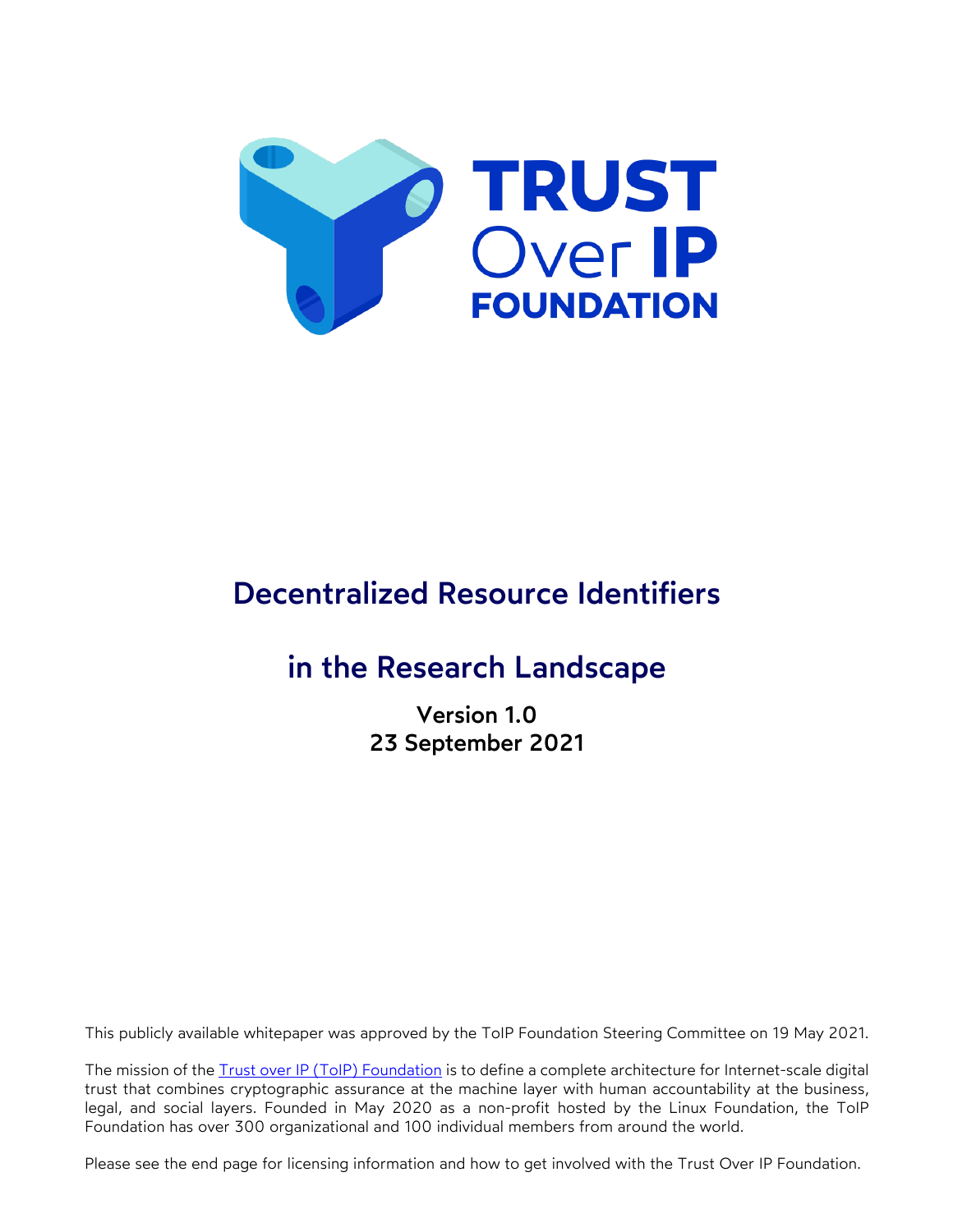

## Decentralized Resource Identifiers

### in the Research Landscape

Version 1.0 23 September 2021

This publicly available whitepaper was approved by the ToIP Foundation Steering Committee on 19 May 2021.

The mission of the Trust over IP (ToIP) Foundation is to define a complete architecture for Internet-scale digital trust that combines cryptographic assurance at the machine layer with human accountability at the business, legal, and social layers. Founded in May 2020 as a non-profit hosted by the Linux Foundation, the ToIP Foundation has over 300 organizational and 100 individual members from around the world.

Please see the end page for licensing information and how to get involved with the Trust Over IP Foundation.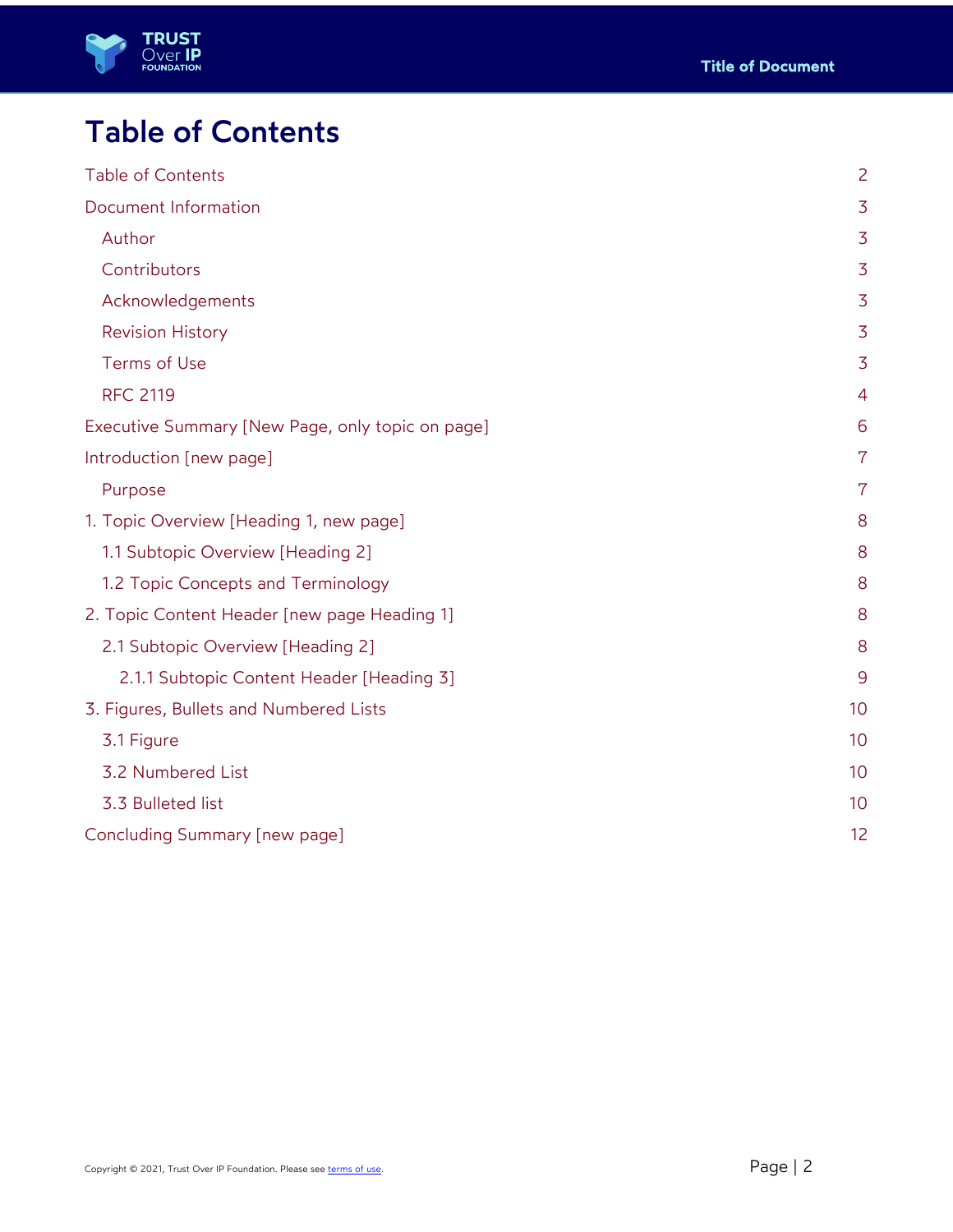

# Table of Contents

| <b>Table of Contents</b>                         |                |
|--------------------------------------------------|----------------|
| Document Information                             | 3              |
| Author                                           | $\overline{3}$ |
| Contributors                                     | 3              |
| Acknowledgements                                 | 3              |
| <b>Revision History</b>                          | $\overline{3}$ |
| Terms of Use                                     | 3              |
| <b>RFC 2119</b>                                  | $\overline{4}$ |
| Executive Summary [New Page, only topic on page] | 6              |
| Introduction [new page]                          | $\overline{7}$ |
| Purpose                                          | $\overline{7}$ |
| 1. Topic Overview [Heading 1, new page]          | 8              |
| 1.1 Subtopic Overview [Heading 2]                | 8              |
| 1.2 Topic Concepts and Terminology               | 8              |
| 2. Topic Content Header [new page Heading 1]     | 8              |
| 2.1 Subtopic Overview [Heading 2]                | 8              |
| 2.1.1 Subtopic Content Header [Heading 3]        | 9              |
| 3. Figures, Bullets and Numbered Lists           | 10             |
| 3.1 Figure                                       | 10             |
| 3.2 Numbered List                                | 10             |
| 3.3 Bulleted list                                | 10             |
| Concluding Summary [new page]                    | 12             |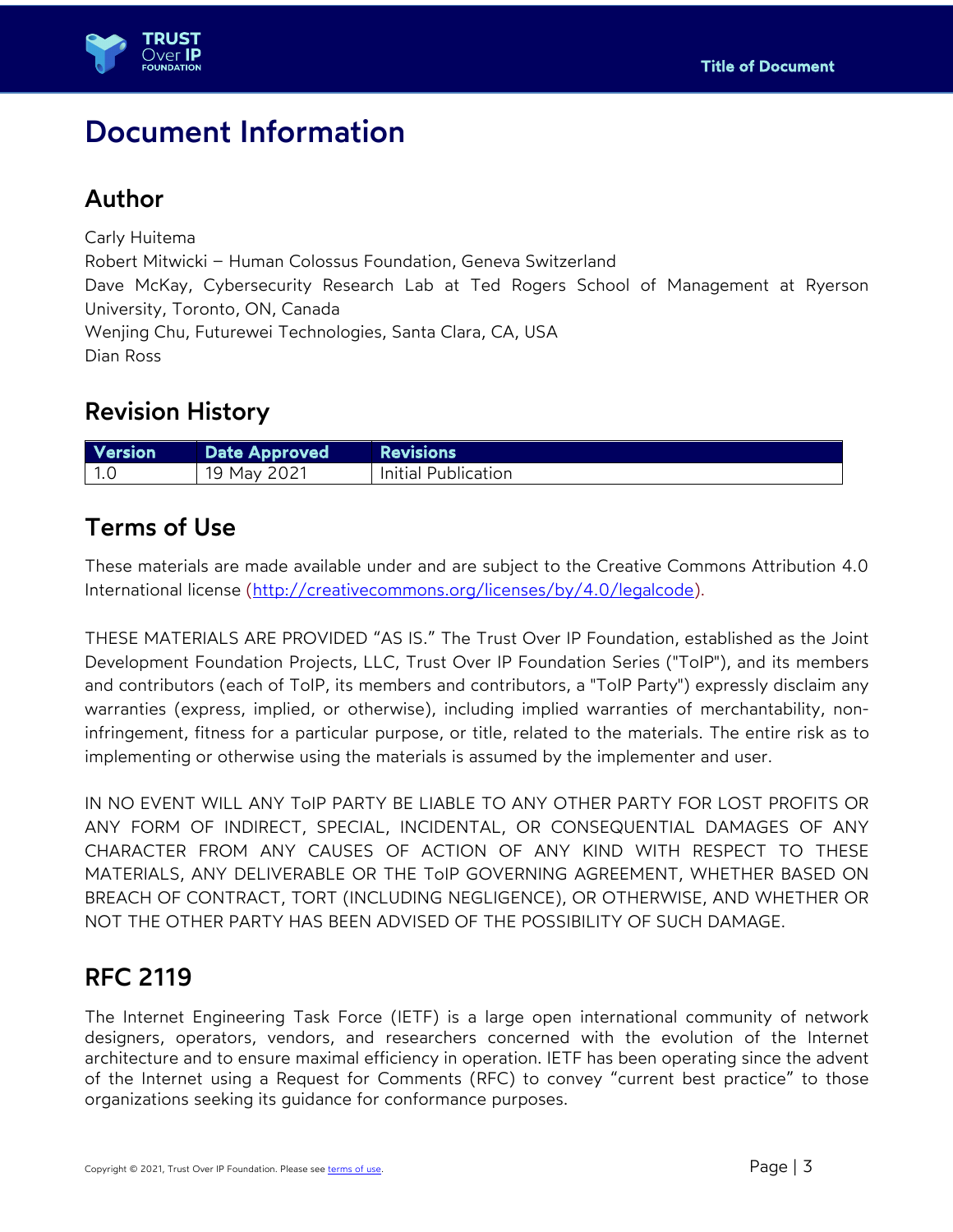

## Document Information

#### Author

Carly Huitema Robert Mitwicki – Human Colossus Foundation, Geneva Switzerland Dave McKay, Cybersecurity Research Lab at Ted Rogers School of Management at Ryerson University, Toronto, ON, Canada Wenjing Chu, Futurewei Technologies, Santa Clara, CA, USA Dian Ross

#### Revision History

| <b>Version</b> | <b>Date Approved</b> | <b>Revisions</b>    |
|----------------|----------------------|---------------------|
| 1.C            | 19 May 2021          | Initial Publication |

#### Terms of Use

These materials are made available under and are subject to the Creative Commons Attribution 4.0 International license (http://creativecommons.org/licenses/by/4.0/legalcode).

THESE MATERIALS ARE PROVIDED "AS IS." The Trust Over IP Foundation, established as the Joint Development Foundation Projects, LLC, Trust Over IP Foundation Series ("ToIP"), and its members and contributors (each of ToIP, its members and contributors, a "ToIP Party") expressly disclaim any warranties (express, implied, or otherwise), including implied warranties of merchantability, noninfringement, fitness for a particular purpose, or title, related to the materials. The entire risk as to implementing or otherwise using the materials is assumed by the implementer and user.

IN NO EVENT WILL ANY ToIP PARTY BE LIABLE TO ANY OTHER PARTY FOR LOST PROFITS OR ANY FORM OF INDIRECT, SPECIAL, INCIDENTAL, OR CONSEQUENTIAL DAMAGES OF ANY CHARACTER FROM ANY CAUSES OF ACTION OF ANY KIND WITH RESPECT TO THESE MATERIALS, ANY DELIVERABLE OR THE ToIP GOVERNING AGREEMENT, WHETHER BASED ON BREACH OF CONTRACT, TORT (INCLUDING NEGLIGENCE), OR OTHERWISE, AND WHETHER OR NOT THE OTHER PARTY HAS BEEN ADVISED OF THE POSSIBILITY OF SUCH DAMAGE.

#### RFC 2119

The Internet Engineering Task Force (IETF) is a large open international community of network designers, operators, vendors, and researchers concerned with the evolution of the Internet architecture and to ensure maximal efficiency in operation. IETF has been operating since the advent of the Internet using a Request for Comments (RFC) to convey "current best practice" to those organizations seeking its guidance for conformance purposes.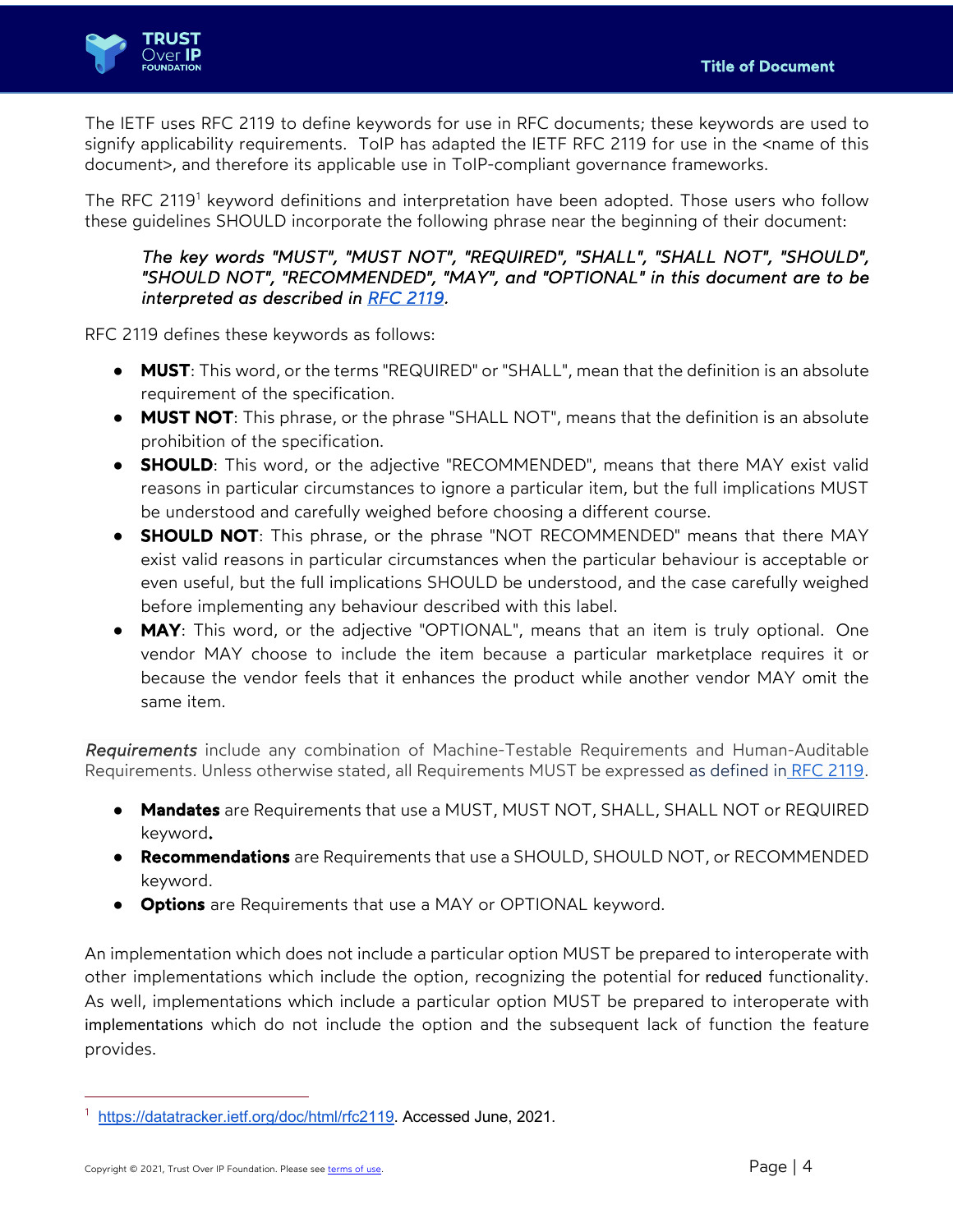

The IETF uses RFC 2119 to define keywords for use in RFC documents; these keywords are used to signify applicability requirements. ToIP has adapted the IETF RFC 2119 for use in the <name of this document>, and therefore its applicable use in ToIP-compliant governance frameworks.

The RFC 2119<sup>1</sup> keyword definitions and interpretation have been adopted. Those users who follow these guidelines SHOULD incorporate the following phrase near the beginning of their document:

#### *The key words "MUST", "MUST NOT", "REQUIRED", "SHALL", "SHALL NOT", "SHOULD", "SHOULD NOT", "RECOMMENDED", "MAY", and "OPTIONAL" in this document are to be interpreted as described in RFC 2119.*

RFC 2119 defines these keywords as follows:

- MUST: This word, or the terms "REQUIRED" or "SHALL", mean that the definition is an absolute requirement of the specification.
- MUST NOT: This phrase, or the phrase "SHALL NOT", means that the definition is an absolute prohibition of the specification.
- **SHOULD**: This word, or the adjective "RECOMMENDED", means that there MAY exist valid reasons in particular circumstances to ignore a particular item, but the full implications MUST be understood and carefully weighed before choosing a different course.
- **SHOULD NOT**: This phrase, or the phrase "NOT RECOMMENDED" means that there MAY exist valid reasons in particular circumstances when the particular behaviour is acceptable or even useful, but the full implications SHOULD be understood, and the case carefully weighed before implementing any behaviour described with this label.
- MAY: This word, or the adjective "OPTIONAL", means that an item is truly optional. One vendor MAY choose to include the item because a particular marketplace requires it or because the vendor feels that it enhances the product while another vendor MAY omit the same item.

*Requirements* include any combination of Machine-Testable Requirements and Human-Auditable Requirements. Unless otherwise stated, all Requirements MUST be expressed as defined in RFC 2119.

- **Mandates** are Requirements that use a MUST, MUST NOT, SHALL, SHALL NOT or REQUIRED keyword.
- **Recommendations** are Requirements that use a SHOULD, SHOULD NOT, or RECOMMENDED keyword.
- **Options** are Requirements that use a MAY or OPTIONAL keyword.

An implementation which does not include a particular option MUST be prepared to interoperate with other implementations which include the option, recognizing the potential for reduced functionality. As well, implementations which include a particular option MUST be prepared to interoperate with implementations which do not include the option and the subsequent lack of function the feature provides.

https://datatracker.ietf.org/doc/html/rfc2119. Accessed June, 2021.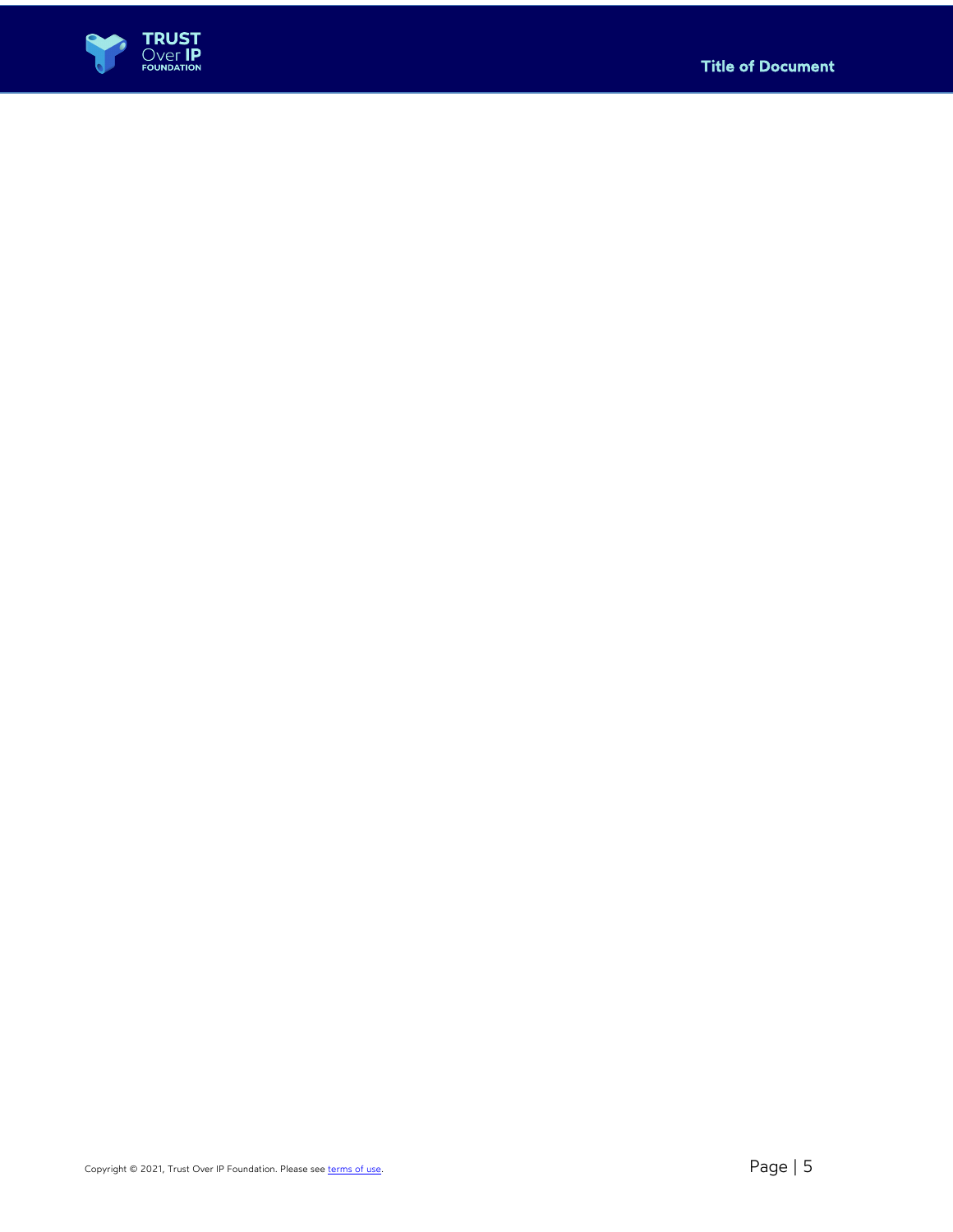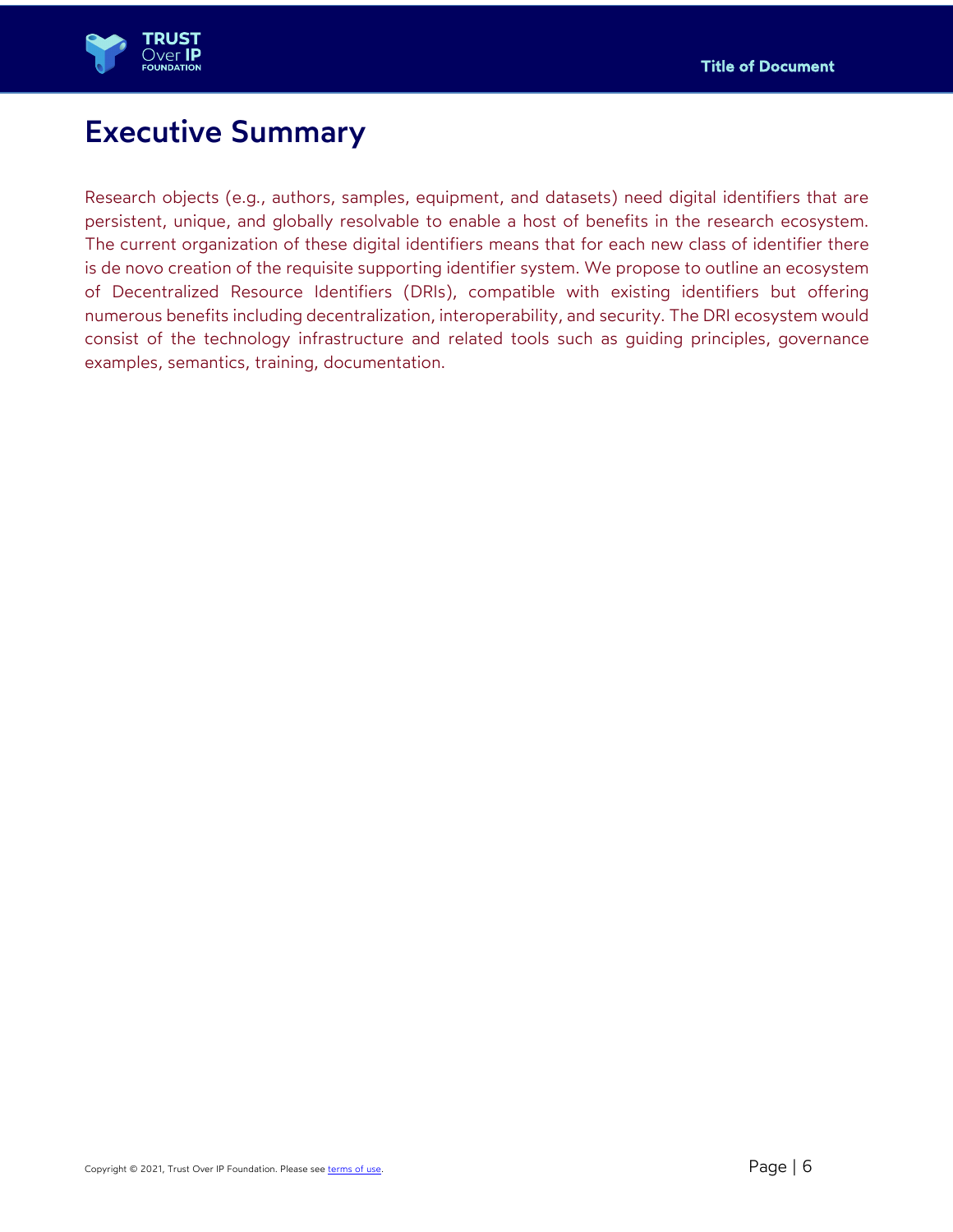

### Executive Summary

Research objects (e.g., authors, samples, equipment, and datasets) need digital identifiers that are persistent, unique, and globally resolvable to enable a host of benefits in the research ecosystem. The current organization of these digital identifiers means that for each new class of identifier there is de novo creation of the requisite supporting identifier system. We propose to outline an ecosystem of Decentralized Resource Identifiers (DRIs), compatible with existing identifiers but offering numerous benefits including decentralization, interoperability, and security. The DRI ecosystem would consist of the technology infrastructure and related tools such as guiding principles, governance examples, semantics, training, documentation.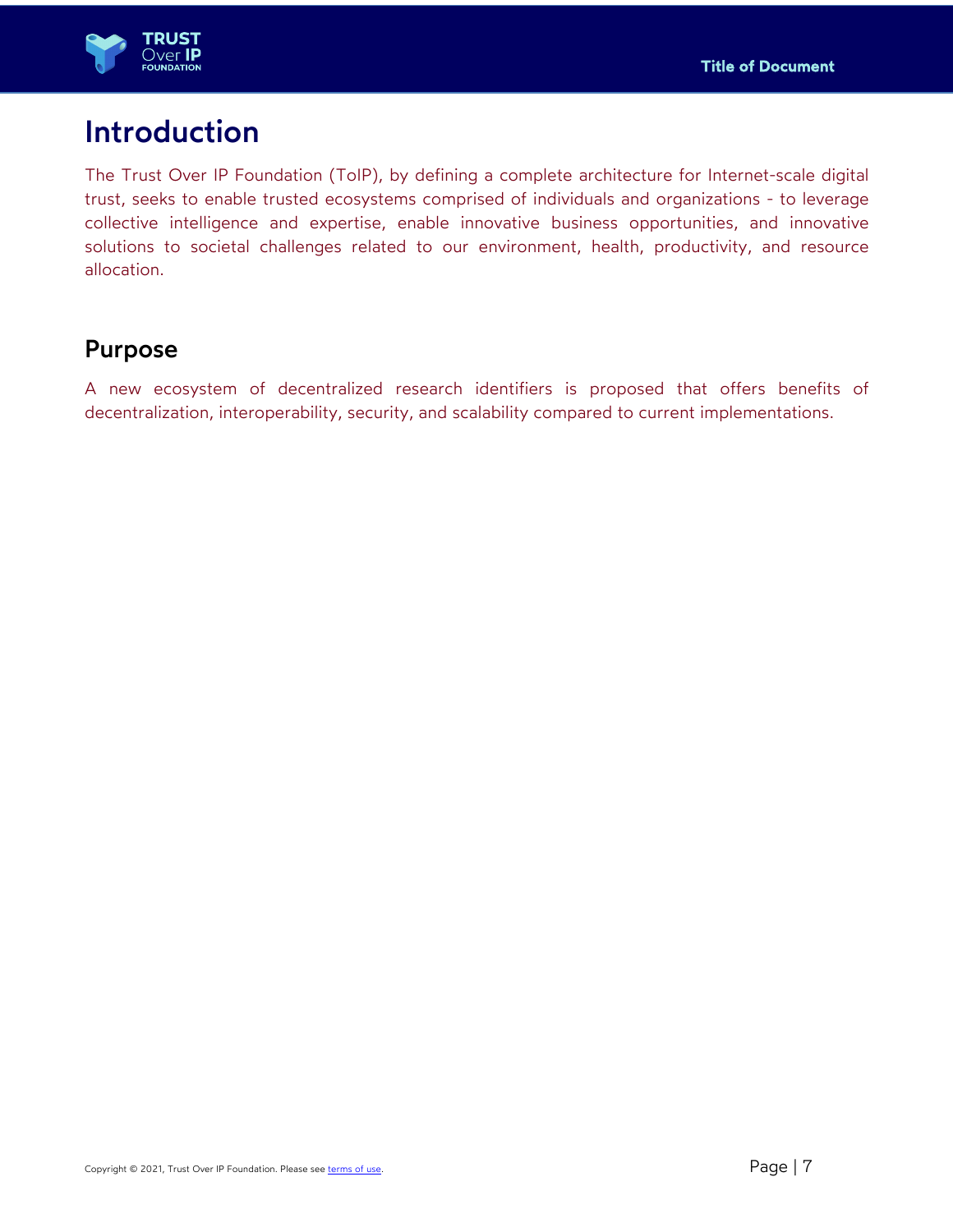

## Introduction

The Trust Over IP Foundation (ToIP), by defining a complete architecture for Internet-scale digital trust, seeks to enable trusted ecosystems comprised of individuals and organizations - to leverage collective intelligence and expertise, enable innovative business opportunities, and innovative solutions to societal challenges related to our environment, health, productivity, and resource allocation.

#### Purpose

A new ecosystem of decentralized research identifiers is proposed that offers benefits of decentralization, interoperability, security, and scalability compared to current implementations.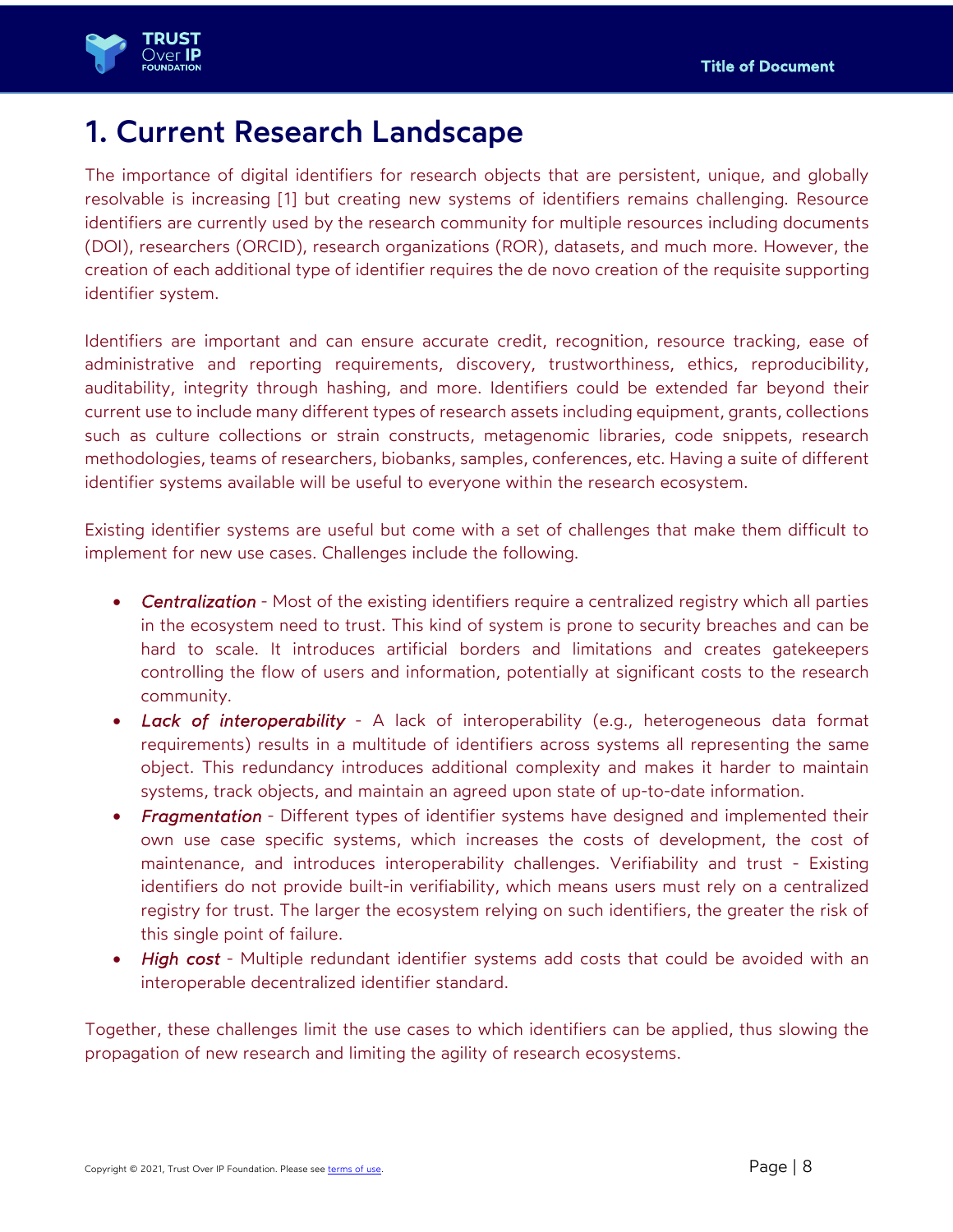

#### 1. Current Research Landscape

The importance of digital identifiers for research objects that are persistent, unique, and globally resolvable is increasing [1] but creating new systems of identifiers remains challenging. Resource identifiers are currently used by the research community for multiple resources including documents (DOI), researchers (ORCID), research organizations (ROR), datasets, and much more. However, the creation of each additional type of identifier requires the de novo creation of the requisite supporting identifier system.

Identifiers are important and can ensure accurate credit, recognition, resource tracking, ease of administrative and reporting requirements, discovery, trustworthiness, ethics, reproducibility, auditability, integrity through hashing, and more. Identifiers could be extended far beyond their current use to include many different types of research assets including equipment, grants, collections such as culture collections or strain constructs, metagenomic libraries, code snippets, research methodologies, teams of researchers, biobanks, samples, conferences, etc. Having a suite of different identifier systems available will be useful to everyone within the research ecosystem.

Existing identifier systems are useful but come with a set of challenges that make them difficult to implement for new use cases. Challenges include the following.

- *Centralization*  Most of the existing identifiers require a centralized registry which all parties in the ecosystem need to trust. This kind of system is prone to security breaches and can be hard to scale. It introduces artificial borders and limitations and creates gatekeepers controlling the flow of users and information, potentially at significant costs to the research community.
- *Lack of interoperability* A lack of interoperability (e.g., heterogeneous data format requirements) results in a multitude of identifiers across systems all representing the same object. This redundancy introduces additional complexity and makes it harder to maintain systems, track objects, and maintain an agreed upon state of up-to-date information.
- *Fragmentation* Different types of identifier systems have designed and implemented their own use case specific systems, which increases the costs of development, the cost of maintenance, and introduces interoperability challenges. Verifiability and trust - Existing identifiers do not provide built-in verifiability, which means users must rely on a centralized registry for trust. The larger the ecosystem relying on such identifiers, the greater the risk of this single point of failure.
- *High cost* Multiple redundant identifier systems add costs that could be avoided with an interoperable decentralized identifier standard.

Together, these challenges limit the use cases to which identifiers can be applied, thus slowing the propagation of new research and limiting the agility of research ecosystems.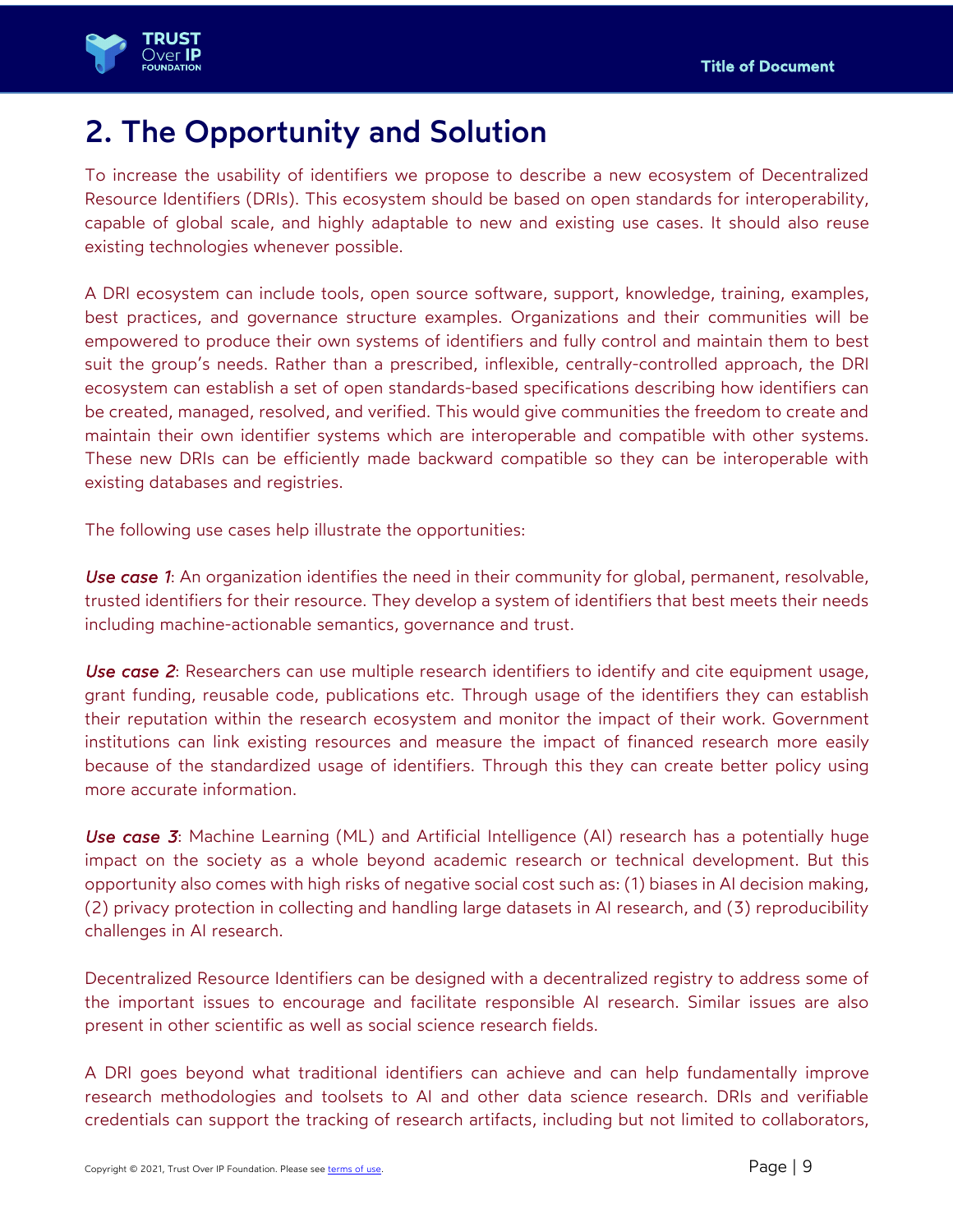

### 2. The Opportunity and Solution

To increase the usability of identifiers we propose to describe a new ecosystem of Decentralized Resource Identifiers (DRIs). This ecosystem should be based on open standards for interoperability, capable of global scale, and highly adaptable to new and existing use cases. It should also reuse existing technologies whenever possible.

A DRI ecosystem can include tools, open source software, support, knowledge, training, examples, best practices, and governance structure examples. Organizations and their communities will be empowered to produce their own systems of identifiers and fully control and maintain them to best suit the group's needs. Rather than a prescribed, inflexible, centrally-controlled approach, the DRI ecosystem can establish a set of open standards-based specifications describing how identifiers can be created, managed, resolved, and verified. This would give communities the freedom to create and maintain their own identifier systems which are interoperable and compatible with other systems. These new DRIs can be efficiently made backward compatible so they can be interoperable with existing databases and registries.

The following use cases help illustrate the opportunities:

*Use case 1*: An organization identifies the need in their community for global, permanent, resolvable, trusted identifiers for their resource. They develop a system of identifiers that best meets their needs including machine-actionable semantics, governance and trust.

*Use case 2*: Researchers can use multiple research identifiers to identify and cite equipment usage, grant funding, reusable code, publications etc. Through usage of the identifiers they can establish their reputation within the research ecosystem and monitor the impact of their work. Government institutions can link existing resources and measure the impact of financed research more easily because of the standardized usage of identifiers. Through this they can create better policy using more accurate information.

*Use case 3*: Machine Learning (ML) and Artificial Intelligence (AI) research has a potentially huge impact on the society as a whole beyond academic research or technical development. But this opportunity also comes with high risks of negative social cost such as: (1) biases in AI decision making, (2) privacy protection in collecting and handling large datasets in AI research, and (3) reproducibility challenges in AI research.

Decentralized Resource Identifiers can be designed with a decentralized registry to address some of the important issues to encourage and facilitate responsible AI research. Similar issues are also present in other scientific as well as social science research fields.

A DRI goes beyond what traditional identifiers can achieve and can help fundamentally improve research methodologies and toolsets to AI and other data science research. DRIs and verifiable credentials can support the tracking of research artifacts, including but not limited to collaborators,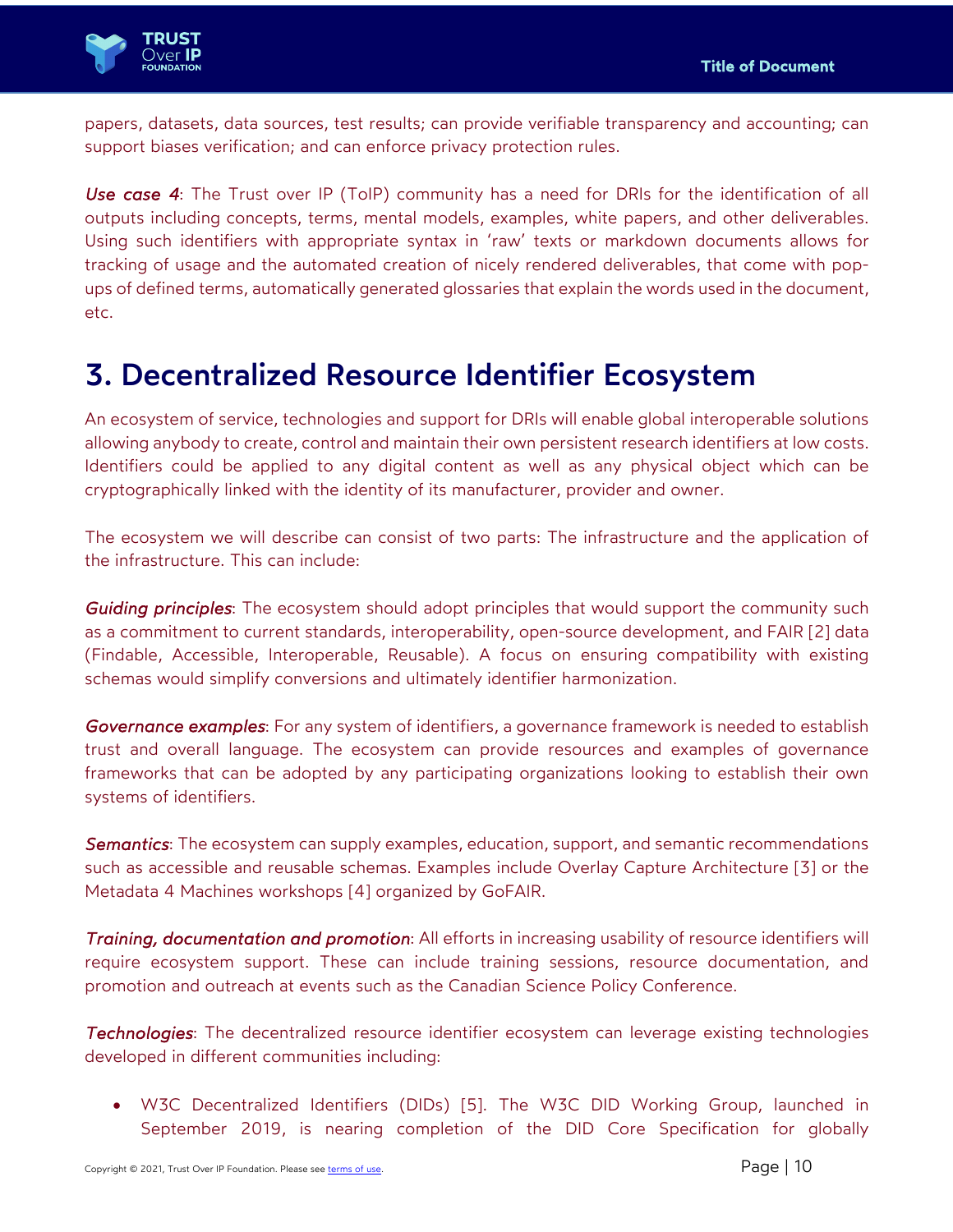

papers, datasets, data sources, test results; can provide verifiable transparency and accounting; can support biases verification; and can enforce privacy protection rules.

*Use case 4*: The Trust over IP (ToIP) community has a need for DRIs for the identification of all outputs including concepts, terms, mental models, examples, white papers, and other deliverables. Using such identifiers with appropriate syntax in 'raw' texts or markdown documents allows for tracking of usage and the automated creation of nicely rendered deliverables, that come with popups of defined terms, automatically generated glossaries that explain the words used in the document, etc.

### 3. Decentralized Resource Identifier Ecosystem

An ecosystem of service, technologies and support for DRIs will enable global interoperable solutions allowing anybody to create, control and maintain their own persistent research identifiers at low costs. Identifiers could be applied to any digital content as well as any physical object which can be cryptographically linked with the identity of its manufacturer, provider and owner.

The ecosystem we will describe can consist of two parts: The infrastructure and the application of the infrastructure. This can include:

*Guiding principles*: The ecosystem should adopt principles that would support the community such as a commitment to current standards, interoperability, open-source development, and FAIR [2] data (Findable, Accessible, Interoperable, Reusable). A focus on ensuring compatibility with existing schemas would simplify conversions and ultimately identifier harmonization.

*Governance examples*: For any system of identifiers, a governance framework is needed to establish trust and overall language. The ecosystem can provide resources and examples of governance frameworks that can be adopted by any participating organizations looking to establish their own systems of identifiers.

*Semantics*: The ecosystem can supply examples, education, support, and semantic recommendations such as accessible and reusable schemas. Examples include Overlay Capture Architecture [3] or the Metadata 4 Machines workshops [4] organized by GoFAIR.

*Training, documentation and promotion*: All efforts in increasing usability of resource identifiers will require ecosystem support. These can include training sessions, resource documentation, and promotion and outreach at events such as the Canadian Science Policy Conference.

*Technologies*: The decentralized resource identifier ecosystem can leverage existing technologies developed in different communities including:

• W3C Decentralized Identifiers (DIDs) [5]. The W3C DID Working Group, launched in September 2019, is nearing completion of the DID Core Specification for globally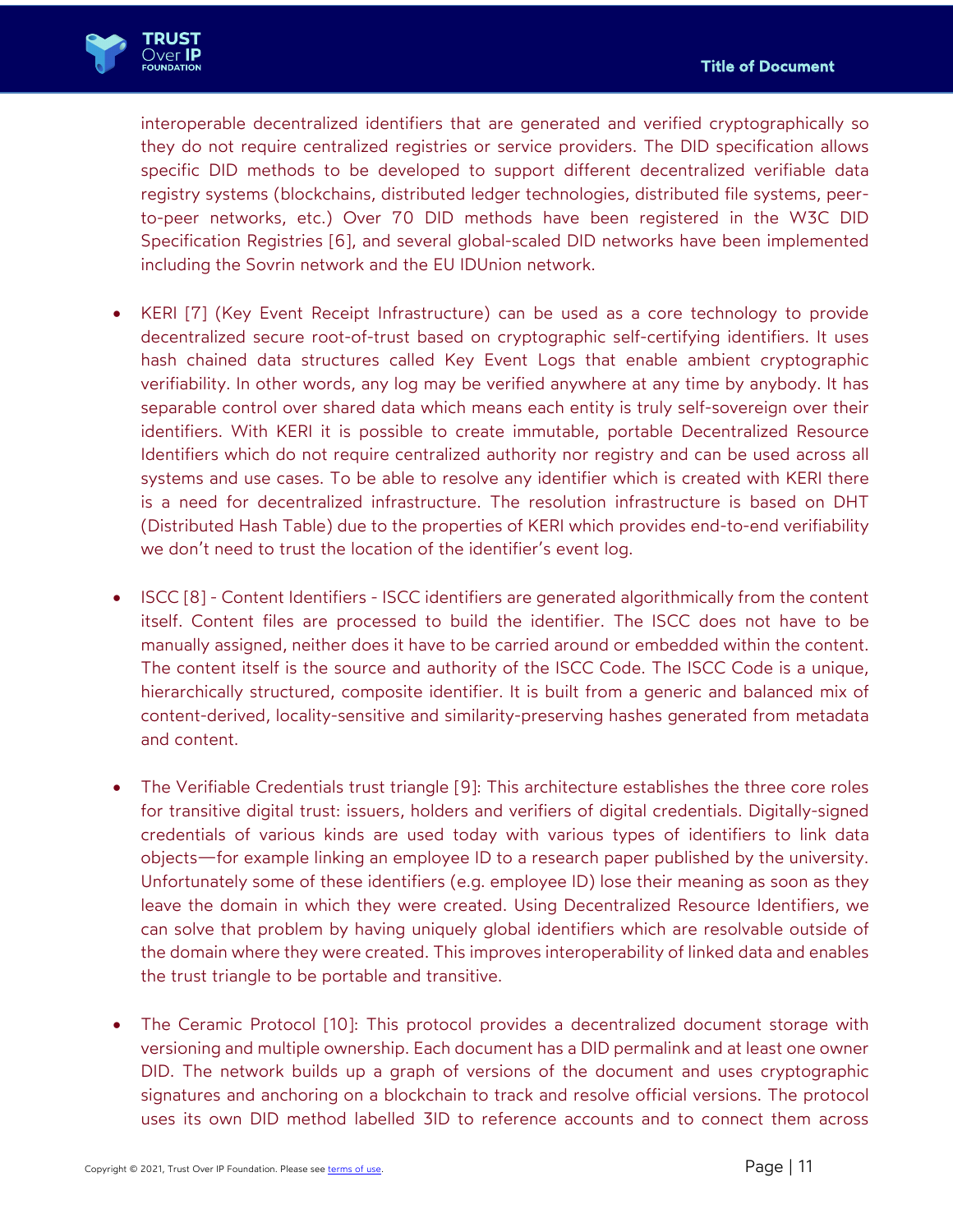

interoperable decentralized identifiers that are generated and verified cryptographically so they do not require centralized registries or service providers. The DID specification allows specific DID methods to be developed to support different decentralized verifiable data registry systems (blockchains, distributed ledger technologies, distributed file systems, peerto-peer networks, etc.) Over 70 DID methods have been registered in the W3C DID Specification Registries [6], and several global-scaled DID networks have been implemented including the Sovrin network and the EU IDUnion network.

- KERI [7] (Key Event Receipt Infrastructure) can be used as a core technology to provide decentralized secure root-of-trust based on cryptographic self-certifying identifiers. It uses hash chained data structures called Key Event Logs that enable ambient cryptographic verifiability. In other words, any log may be verified anywhere at any time by anybody. It has separable control over shared data which means each entity is truly self-sovereign over their identifiers. With KERI it is possible to create immutable, portable Decentralized Resource Identifiers which do not require centralized authority nor registry and can be used across all systems and use cases. To be able to resolve any identifier which is created with KERI there is a need for decentralized infrastructure. The resolution infrastructure is based on DHT (Distributed Hash Table) due to the properties of KERI which provides end-to-end verifiability we don't need to trust the location of the identifier's event log.
- ISCC [8] Content Identifiers ISCC identifiers are generated algorithmically from the content itself. Content files are processed to build the identifier. The ISCC does not have to be manually assigned, neither does it have to be carried around or embedded within the content. The content itself is the source and authority of the ISCC Code. The ISCC Code is a unique, hierarchically structured, composite identifier. It is built from a generic and balanced mix of content-derived, locality-sensitive and similarity-preserving hashes generated from metadata and content.
- The Verifiable Credentials trust triangle [9]: This architecture establishes the three core roles for transitive digital trust: issuers, holders and verifiers of digital credentials. Digitally-signed credentials of various kinds are used today with various types of identifiers to link data objects—for example linking an employee ID to a research paper published by the university. Unfortunately some of these identifiers (e.g. employee ID) lose their meaning as soon as they leave the domain in which they were created. Using Decentralized Resource Identifiers, we can solve that problem by having uniquely global identifiers which are resolvable outside of the domain where they were created. This improves interoperability of linked data and enables the trust triangle to be portable and transitive.
- The Ceramic Protocol [10]: This protocol provides a decentralized document storage with versioning and multiple ownership. Each document has a DID permalink and at least one owner DID. The network builds up a graph of versions of the document and uses cryptographic signatures and anchoring on a blockchain to track and resolve official versions. The protocol uses its own DID method labelled 3ID to reference accounts and to connect them across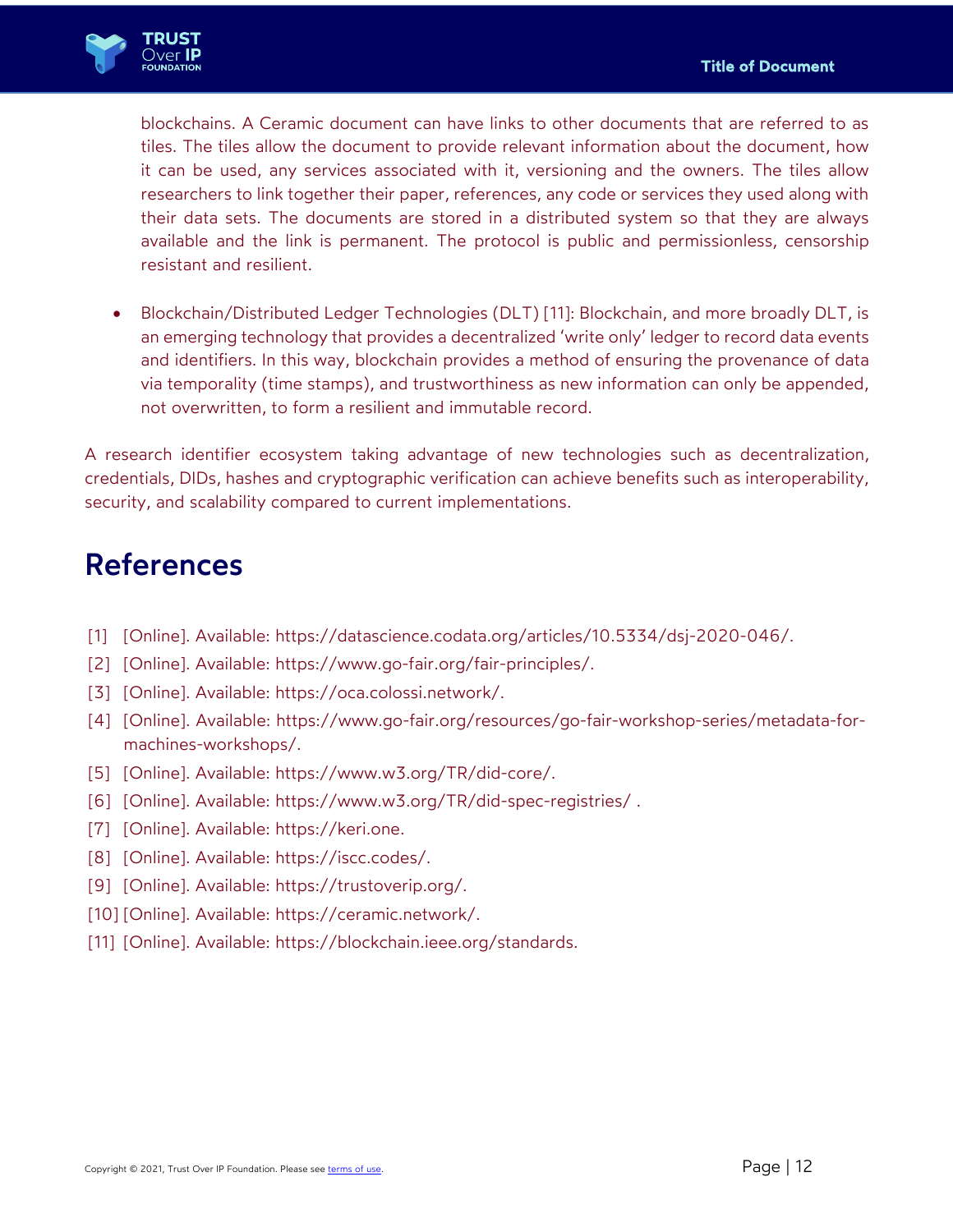

blockchains. A Ceramic document can have links to other documents that are referred to as tiles. The tiles allow the document to provide relevant information about the document, how it can be used, any services associated with it, versioning and the owners. The tiles allow researchers to link together their paper, references, any code or services they used along with their data sets. The documents are stored in a distributed system so that they are always available and the link is permanent. The protocol is public and permissionless, censorship resistant and resilient.

• Blockchain/Distributed Ledger Technologies (DLT) [11]: Blockchain, and more broadly DLT, is an emerging technology that provides a decentralized 'write only' ledger to record data events and identifiers. In this way, blockchain provides a method of ensuring the provenance of data via temporality (time stamps), and trustworthiness as new information can only be appended, not overwritten, to form a resilient and immutable record.

A research identifier ecosystem taking advantage of new technologies such as decentralization, credentials, DIDs, hashes and cryptographic verification can achieve benefits such as interoperability, security, and scalability compared to current implementations.

### References

- [1] [Online]. Available: https://datascience.codata.org/articles/10.5334/dsj-2020-046/.
- [2] [Online]. Available: https://www.go-fair.org/fair-principles/.
- [3] [Online]. Available: https://oca.colossi.network/.
- [4] [Online]. Available: https://www.go-fair.org/resources/go-fair-workshop-series/metadata-formachines-workshops/.
- [5] [Online]. Available: https://www.w3.org/TR/did-core/.
- [6] [Online]. Available: https://www.w3.org/TR/did-spec-registries/.
- [7] [Online]. Available: https://keri.one.
- [8] [Online]. Available: https://iscc.codes/.
- [9] [Online]. Available: https://trustoverip.org/.
- [10] [Online]. Available: https://ceramic.network/.
- [11] [Online]. Available: https://blockchain.ieee.org/standards.